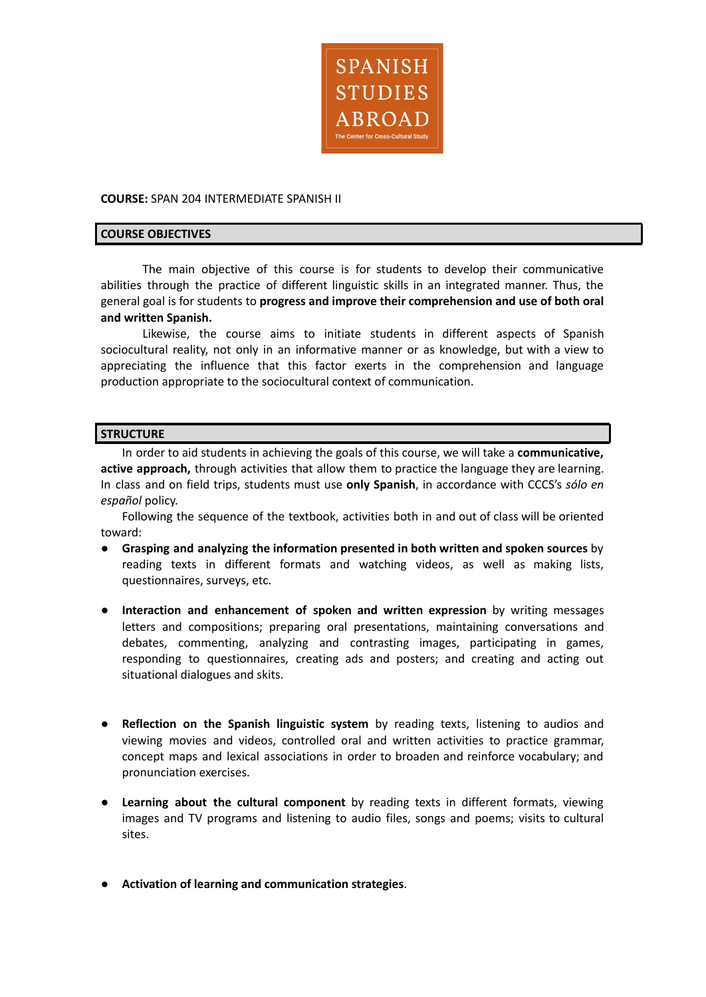

#### **COURSE:** SPAN 204 INTERMEDIATE SPANISH II

#### **COURSE OBJECTIVES**

The main objective of this course is for students to develop their communicative abilities through the practice of different linguistic skills in an integrated manner. Thus, the general goal is for students to **progress and improve their comprehension and use of both oral and written Spanish.**

Likewise, the course aims to initiate students in different aspects of Spanish sociocultural reality, not only in an informative manner or as knowledge, but with a view to appreciating the influence that this factor exerts in the comprehension and language production appropriate to the sociocultural context of communication.

### **STRUCTURE**

In order to aid students in achieving the goals of this course, we will take a **communicative, active approach,** through activities that allow them to practice the language they are learning. In class and on field trips, students must use **only Spanish**, in accordance with CCCS's *sólo en español* policy.

Following the sequence of the textbook, activities both in and out of class will be oriented toward:

- **Grasping and analyzing the information presented in both written and spoken sources** by reading texts in different formats and watching videos, as well as making lists, questionnaires, surveys, etc.
- **Interaction and enhancement of spoken and written expression** by writing messages letters and compositions; preparing oral presentations, maintaining conversations and debates, commenting, analyzing and contrasting images, participating in games, responding to questionnaires, creating ads and posters; and creating and acting out situational dialogues and skits.
- **Reflection on the Spanish linguistic system** by reading texts, listening to audios and viewing movies and videos, controlled oral and written activities to practice grammar, concept maps and lexical associations in order to broaden and reinforce vocabulary; and pronunciation exercises.
- **Learning about the cultural component** by reading texts in different formats, viewing images and TV programs and listening to audio files, songs and poems; visits to cultural sites.
- **Activation of learning and communication strategies**.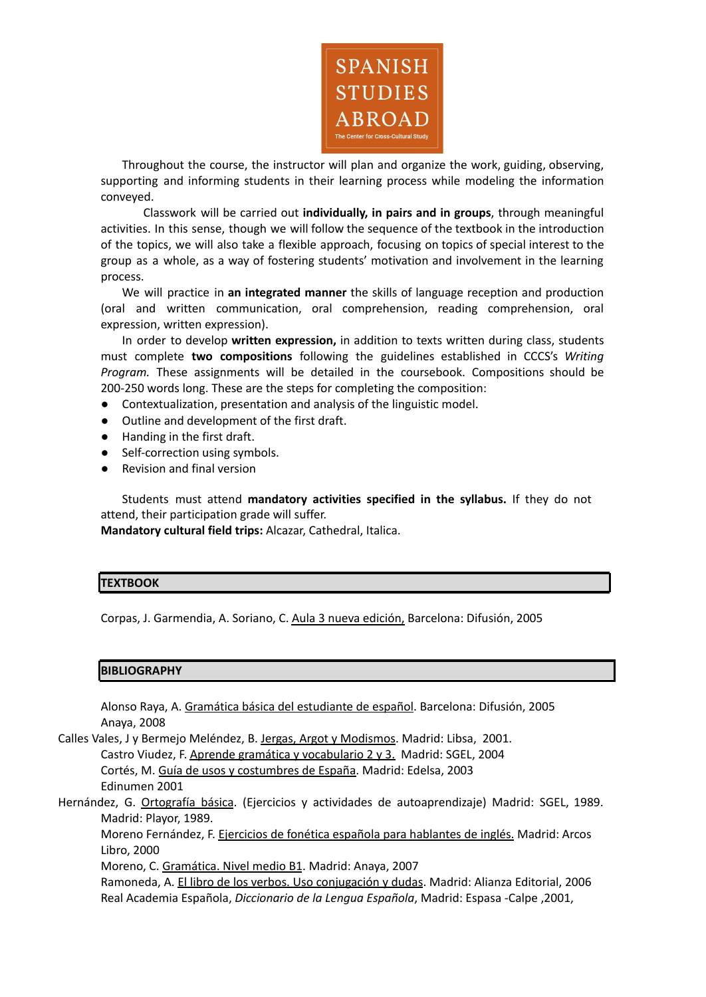

Throughout the course, the instructor will plan and organize the work, guiding, observing, supporting and informing students in their learning process while modeling the information conveyed.

Classwork will be carried out **individually, in pairs and in groups**, through meaningful activities. In this sense, though we will follow the sequence of the textbook in the introduction of the topics, we will also take a flexible approach, focusing on topics of special interest to the group as a whole, as a way of fostering students' motivation and involvement in the learning process.

We will practice in **an integrated manner** the skills of language reception and production (oral and written communication, oral comprehension, reading comprehension, oral expression, written expression).

In order to develop **written expression,** in addition to texts written during class, students must complete **two compositions** following the guidelines established in CCCS's *Writing Program.* These assignments will be detailed in the coursebook. Compositions should be 200-250 words long. These are the steps for completing the composition:

- Contextualization, presentation and analysis of the linguistic model.
- Outline and development of the first draft.
- Handing in the first draft.
- Self-correction using symbols.
- **Revision and final version**

Students must attend **mandatory activities specified in the syllabus.** If they do not attend, their participation grade will suffer.

**Mandatory cultural field trips:** Alcazar, Cathedral, Italica.

#### **TEXTBOOK**

Corpas, J. Garmendia, A. Soriano, C. Aula 3 nueva edición, Barcelona: Difusión, 2005

#### **BIBLIOGRAPHY**

Alonso Raya, A. Gramática básica del estudiante de español. Barcelona: Difusión, 2005 Anaya, 2008

Calles Vales, J y Bermejo Meléndez, B. Jergas, Argot y Modismos. Madrid: Libsa, 2001. Castro Viudez, F. Aprende gramática y vocabulario 2 y 3. Madrid: SGEL, 2004 Cortés, M. Guía de usos y costumbres de España. Madrid: Edelsa, 2003 Edinumen 2001

Hernández, G. Ortografía básica. (Ejercicios y actividades de autoaprendizaje) Madrid: SGEL, 1989. Madrid: Playor, 1989.

Moreno Fernández, F. Ejercicios de fonética española para hablantes de inglés. Madrid: Arcos Libro, 2000

Moreno, C. Gramática. Nivel medio B1. Madrid: Anaya, 2007

Ramoneda, A. El libro de los verbos. Uso conjugación y dudas. Madrid: Alianza Editorial, 2006 Real Academia Española, *Diccionario de la Lengua Española*, Madrid: Espasa ‐Calpe ,2001,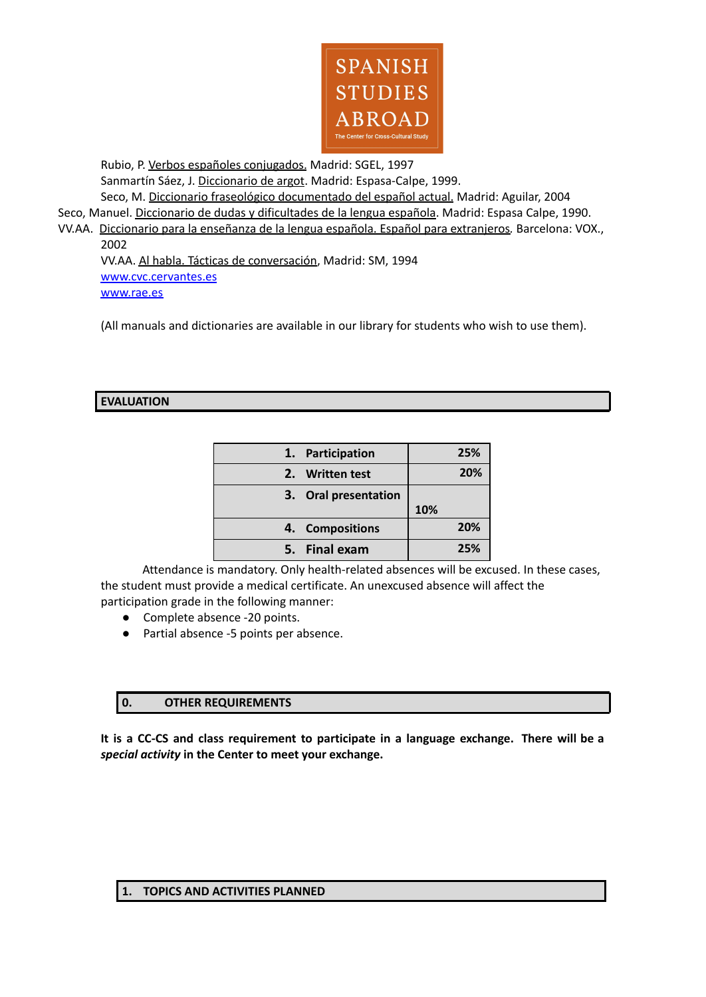

Rubio, P. Verbos españoles conjugados. Madrid: SGEL, 1997 Sanmartín Sáez, J. Diccionario de argot. Madrid: Espasa-Calpe, 1999.

Seco, M. Diccionario fraseológico documentado del español actual. Madrid: Aguilar, 2004

Seco, Manuel. Diccionario de dudas y dificultades de la lengua española. Madrid: Espasa Calpe, 1990.

VV.AA. Diccionario para la enseñanza de la lengua española. Español para extranjeros*.* Barcelona: VOX., 2002

VV.AA. Al habla. Tácticas de conversación, Madrid: SM, 1994 [www.cvc.cervantes.es](http://www.cvc.cervantes.es) [www.rae.es](http://www.rae.es)

(All manuals and dictionaries are available in our library for students who wish to use them).

## **EVALUATION**

| 1. Participation     | 25% |
|----------------------|-----|
| 2. Written test      | 20% |
| 3. Oral presentation |     |
|                      | 10% |
| 4. Compositions      | 20% |
| 5. Final exam        | 25% |

Attendance is mandatory. Only health-related absences will be excused. In these cases, the student must provide a medical certificate. An unexcused absence will affect the participation grade in the following manner:

- Complete absence -20 points.
- Partial absence -5 points per absence.

# **0. OTHER REQUIREMENTS**

**It is a CC-CS and class requirement to participate in a language exchange. There will be a** *special activity* **in the Center to meet your exchange.**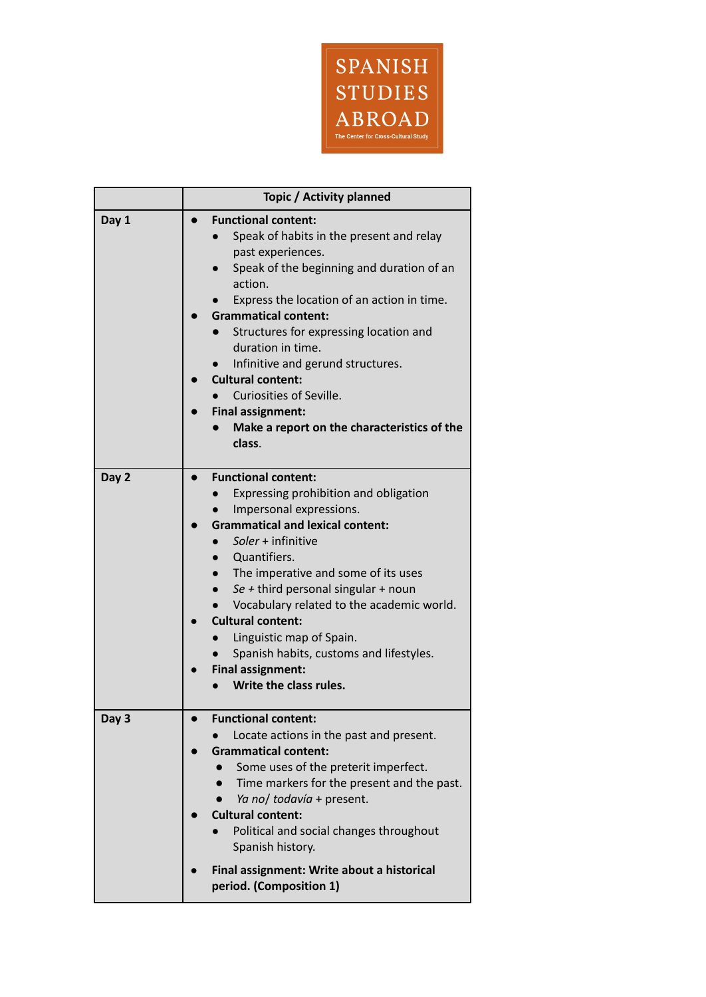

|       | Topic / Activity planned                                                                                                                                                                                                                                                                                                                                                                                                                                                         |  |
|-------|----------------------------------------------------------------------------------------------------------------------------------------------------------------------------------------------------------------------------------------------------------------------------------------------------------------------------------------------------------------------------------------------------------------------------------------------------------------------------------|--|
| Day 1 | <b>Functional content:</b><br>Speak of habits in the present and relay<br>past experiences.<br>Speak of the beginning and duration of an<br>action.<br>Express the location of an action in time.<br><b>Grammatical content:</b><br>Structures for expressing location and<br>duration in time.<br>Infinitive and gerund structures.<br><b>Cultural content:</b><br>Curiosities of Seville.<br><b>Final assignment:</b><br>Make a report on the characteristics of the<br>class. |  |
| Day 2 | <b>Functional content:</b><br>Expressing prohibition and obligation<br>Impersonal expressions.<br><b>Grammatical and lexical content:</b><br>Soler + infinitive<br>Quantifiers.<br>The imperative and some of its uses<br>Se + third personal singular + noun<br>Vocabulary related to the academic world.<br><b>Cultural content:</b><br>Linguistic map of Spain.<br>Spanish habits, customs and lifestyles.<br><b>Final assignment:</b><br>Write the class rules.              |  |
| Day 3 | <b>Functional content:</b><br>Locate actions in the past and present.<br><b>Grammatical content:</b><br>Some uses of the preterit imperfect.<br>Time markers for the present and the past.<br>Ya no/ todavía + present.<br><b>Cultural content:</b><br>Political and social changes throughout<br>Spanish history.<br>Final assignment: Write about a historical                                                                                                                 |  |
|       | period. (Composition 1)                                                                                                                                                                                                                                                                                                                                                                                                                                                          |  |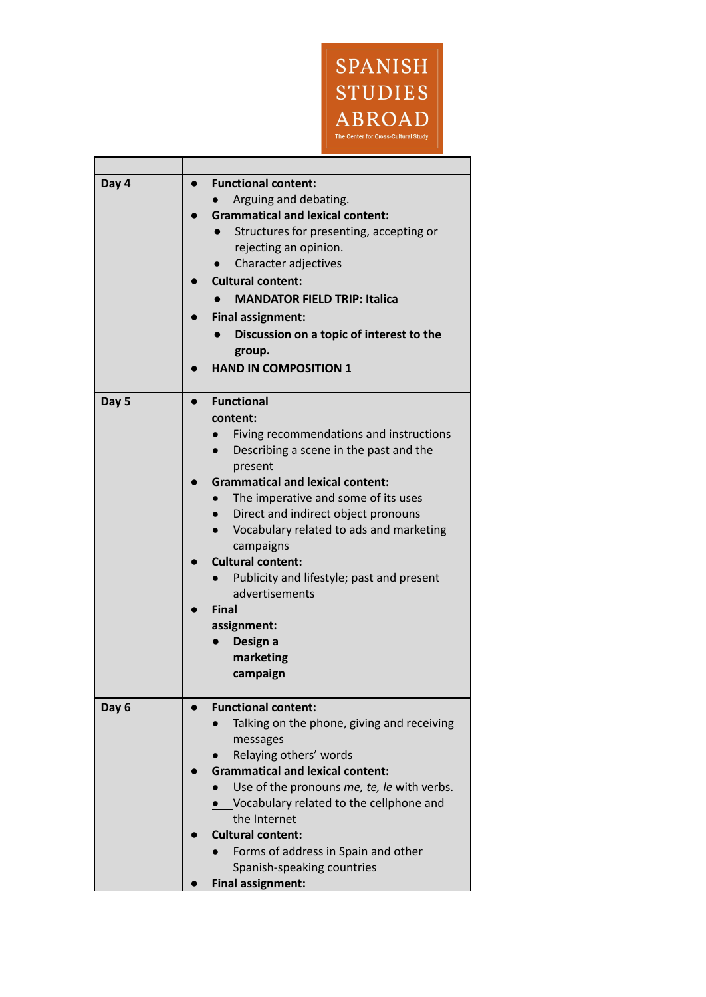

٦

| Day 4 | <b>Functional content:</b>                                        |
|-------|-------------------------------------------------------------------|
|       | Arguing and debating.                                             |
|       | <b>Grammatical and lexical content:</b>                           |
|       | Structures for presenting, accepting or                           |
|       | rejecting an opinion.                                             |
|       | Character adjectives                                              |
|       |                                                                   |
|       | <b>Cultural content:</b>                                          |
|       | <b>MANDATOR FIELD TRIP: Italica</b>                               |
|       | <b>Final assignment:</b>                                          |
|       | Discussion on a topic of interest to the                          |
|       | group.                                                            |
|       | <b>HAND IN COMPOSITION 1</b>                                      |
|       |                                                                   |
| Day 5 | <b>Functional</b><br>$\bullet$                                    |
|       | content:                                                          |
|       | Fiving recommendations and instructions                           |
|       | Describing a scene in the past and the                            |
|       | present                                                           |
|       | <b>Grammatical and lexical content:</b>                           |
|       | The imperative and some of its uses                               |
|       | Direct and indirect object pronouns                               |
|       | Vocabulary related to ads and marketing                           |
|       | campaigns                                                         |
|       | <b>Cultural content:</b>                                          |
|       | Publicity and lifestyle; past and present                         |
|       | advertisements                                                    |
|       | Final                                                             |
|       | assignment:                                                       |
|       | Design a                                                          |
|       | marketing                                                         |
|       | campaign                                                          |
|       |                                                                   |
| Day 6 | <b>Functional content:</b>                                        |
|       | Talking on the phone, giving and receiving                        |
|       |                                                                   |
|       | messages                                                          |
|       | Relaying others' words<br><b>Grammatical and lexical content:</b> |
|       |                                                                   |
|       | Use of the pronouns me, te, le with verbs.                        |
|       | Vocabulary related to the cellphone and                           |
|       | the Internet                                                      |
|       | <b>Cultural content:</b>                                          |
|       | Forms of address in Spain and other                               |
|       | Spanish-speaking countries                                        |
|       | <b>Final assignment:</b>                                          |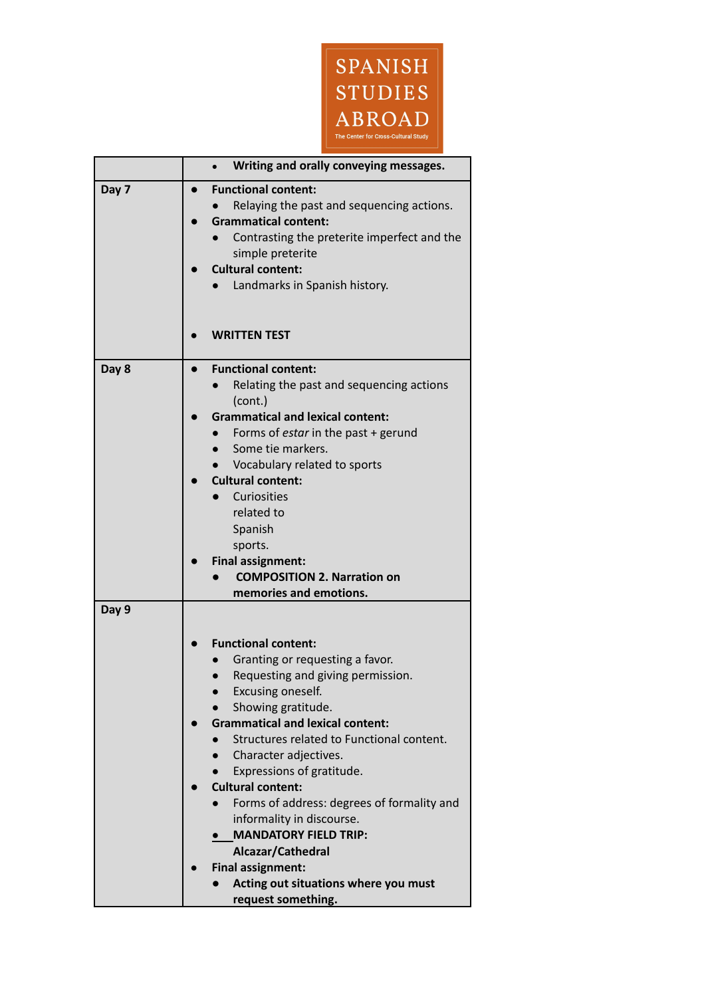

|       | Writing and orally conveying messages.                                                                                                                                                                                                                                                                                                                                                                                                                                                                                                            |  |
|-------|---------------------------------------------------------------------------------------------------------------------------------------------------------------------------------------------------------------------------------------------------------------------------------------------------------------------------------------------------------------------------------------------------------------------------------------------------------------------------------------------------------------------------------------------------|--|
| Day 7 | <b>Functional content:</b><br>Relaying the past and sequencing actions.<br><b>Grammatical content:</b><br>Contrasting the preterite imperfect and the<br>simple preterite<br><b>Cultural content:</b><br>Landmarks in Spanish history.                                                                                                                                                                                                                                                                                                            |  |
|       | <b>WRITTEN TEST</b>                                                                                                                                                                                                                                                                                                                                                                                                                                                                                                                               |  |
| Day 8 | <b>Functional content:</b><br>Relating the past and sequencing actions<br>(cont.)<br><b>Grammatical and lexical content:</b><br>Forms of estar in the past + gerund<br>Some tie markers.<br>Vocabulary related to sports<br><b>Cultural content:</b><br><b>Curiosities</b><br>related to                                                                                                                                                                                                                                                          |  |
|       | Spanish<br>sports.<br><b>Final assignment:</b><br><b>COMPOSITION 2. Narration on</b><br>memories and emotions.                                                                                                                                                                                                                                                                                                                                                                                                                                    |  |
| Day 9 | <b>Functional content:</b><br>Granting or requesting a favor.<br>Requesting and giving permission.<br>Excusing oneself.<br>Showing gratitude.<br><b>Grammatical and lexical content:</b><br>Structures related to Functional content.<br>Character adjectives.<br>Expressions of gratitude.<br><b>Cultural content:</b><br>Forms of address: degrees of formality and<br>informality in discourse.<br><b>MANDATORY FIELD TRIP:</b><br>Alcazar/Cathedral<br><b>Final assignment:</b><br>Acting out situations where you must<br>request something. |  |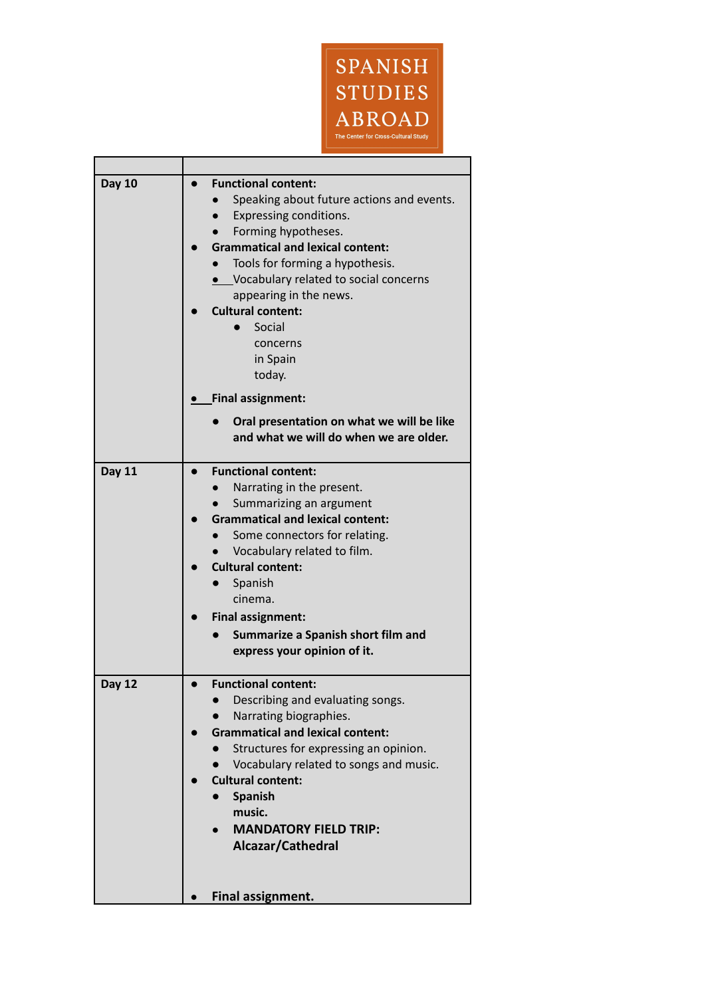

| <b>Day 10</b> | <b>Functional content:</b><br>Speaking about future actions and events.<br>Expressing conditions.<br>Forming hypotheses.<br><b>Grammatical and lexical content:</b><br>Tools for forming a hypothesis.<br>• Vocabulary related to social concerns<br>appearing in the news.<br><b>Cultural content:</b><br>Social<br>concerns<br>in Spain<br>today. |
|---------------|-----------------------------------------------------------------------------------------------------------------------------------------------------------------------------------------------------------------------------------------------------------------------------------------------------------------------------------------------------|
|               | <b>Final assignment:</b><br>Oral presentation on what we will be like<br>and what we will do when we are older.                                                                                                                                                                                                                                     |
| <b>Day 11</b> | <b>Functional content:</b><br>Narrating in the present.<br>Summarizing an argument<br><b>Grammatical and lexical content:</b><br>Some connectors for relating.<br>Vocabulary related to film.<br><b>Cultural content:</b><br>Spanish<br>cinema.<br><b>Final assignment:</b><br>Summarize a Spanish short film and<br>express your opinion of it.    |
| <b>Day 12</b> | <b>Functional content:</b><br>Describing and evaluating songs.<br>Narrating biographies.<br><b>Grammatical and lexical content:</b><br>Structures for expressing an opinion.<br>Vocabulary related to songs and music.<br><b>Cultural content:</b><br><b>Spanish</b><br>music.<br><b>MANDATORY FIELD TRIP:</b><br>Alcazar/Cathedral                 |
|               | Final assignment.                                                                                                                                                                                                                                                                                                                                   |